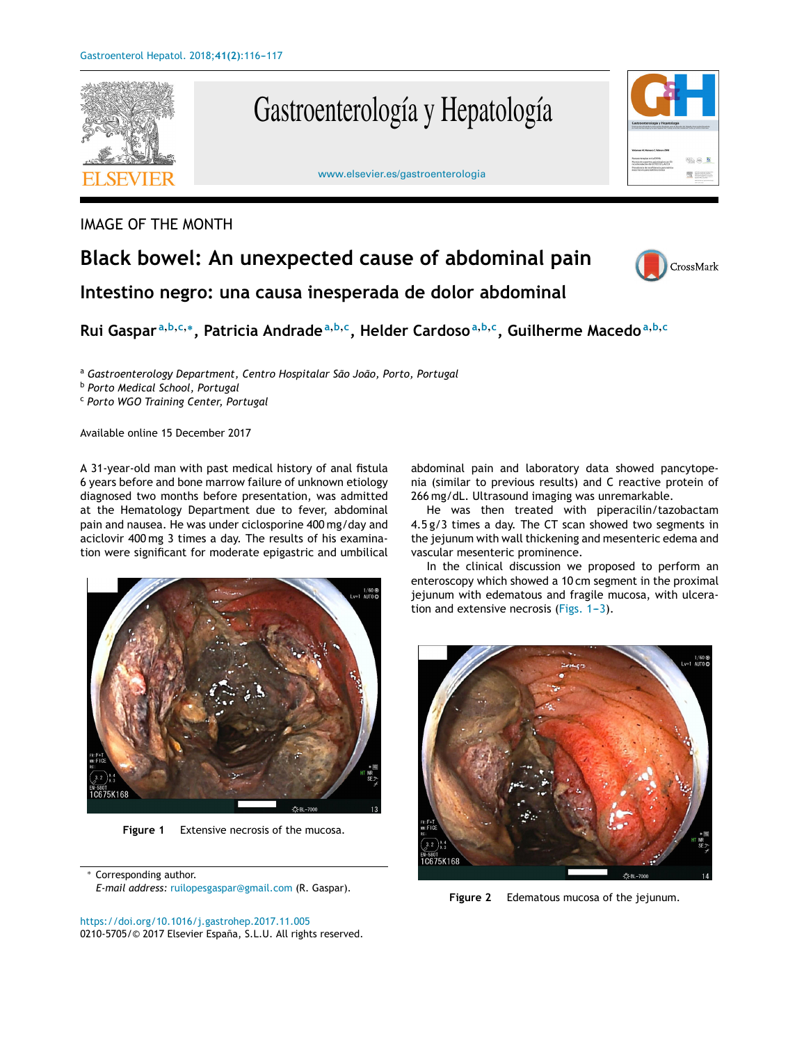

## Gastroenterología y Hepatología



## IMAGE OF THE MONTH

## **Black bowel: An unexpected cause of abdominal pain**



**Intestino negro: una causa inesperada de dolor abdominal**

Rui Gaspar<sup>a,b,c,</sup>\*, Patricia Andrade<sup>a,b,c</sup>, Helder Cardoso<sup>a,b,c</sup>, Guilherme Macedo<sup>a,b,c</sup>

<sup>a</sup> *Gastroenterology Department, Centro Hospitalar São João, Porto, Portugal*

<sup>b</sup> *Porto Medical School, Portugal*

<sup>c</sup> *Porto WGO Training Center, Portugal*

Available online 15 December 2017

A 31-year-old man with past medical history of anal fistula 6 years before and bone marrow failure of unknown etiology diagnosed two months before presentation, was admitted at the Hematology Department due to fever, abdominal pain and nausea. He was under ciclosporine 400 mg/day and aciclovir 400 mg 3 times a day. The results of his examination were significant for moderate epigastric and umbilical



**Figure 1** Extensive necrosis of the mucosa.

Corresponding author. *E-mail address:* [ruilopesgaspar@gmail.com](mailto:ruilopesgaspar@gmail.com) (R. Gaspar). abdominal pain and laboratory data showed pancytopenia (similar to previous results) and C reactive protein of 266 mg/dL. Ultrasound imaging was unremarkable.

He was then treated with piperacilin/tazobactam 4.5 g/3 times a day. The CT scan showed two segments in the jejunum with wall thickening and mesenteric edema and vascular mesenteric prominence.

In the clinical discussion we proposed to perform an enteroscopy which showed a 10 cm segment in the proximal jejunum with edematous and fragile mucosa, with ulceration and extensive necrosis (Figs.  $1-3$ ).



**Figure 2** Edematous mucosa of the jejunum.

<https://doi.org/10.1016/j.gastrohep.2017.11.005> 0210-5705/© 2017 Elsevier España, S.L.U. All rights reserved.